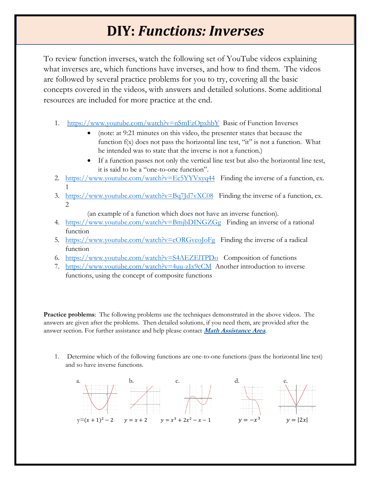# **DIY: Functions: Inverses**

To review function inverses, watch the following set of YouTube videos explaining what inverses are, which functions have inverses, and how to find them. The videos are followed by several practice problems for you to try, covering all the basic concepts covered in the videos, with answers and detailed solutions. Some additional resources are included for more practice at the end.

- 1. <https://www.youtube.com/watch?v=nSmFzOpxhbY>Basic of Function Inverses
	- (note: at 9:21 minutes on this video, the presenter states that because the function f(x) does not pass the horizontal line test, "it" is not a function. What he intended was to state that the inverse is not a function.)
	- If a function passes not only the vertical line test but also the horizontal line test, it is said to be a "one-to-one function".
- 2. <https://www.youtube.com/watch?v=Ec5YYVxyq44>Finding the inverse of a function, ex. 1
- 3. <https://www.youtube.com/watch?v=Bq7Jd7vXC08>Finding the inverse of a function, ex. 2

(an example of a function which does not have an inverse function).

- 4. <https://www.youtube.com/watch?v=BmjbDINGZGg>Finding an inverse of a rational function
- 5. <https://www.youtube.com/watch?v=cORGveoJoFg>Finding the inverse of a radical function
- 6. <https://www.youtube.com/watch?v=S4AEZElTPDo>Composition of functions
- 7. <https://www.youtube.com/watch?v=4uu-zIx9cCM>Another introduction to inverse functions, using the concept of composite functions

**Practice problems**: The following problems use the techniques demonstrated in the above videos. The answers are given after the problems. Then detailed solutions, if you need them, are provided after the answer section. For further assistance and help please contact **[Math Assistance Area](https://cod.edu/academics/learning_commons/mathematics_assistance/index.aspx)**.

1. Determine which of the following functions are one-to-one functions (pass the horizontal line test) and so have inverse functions.

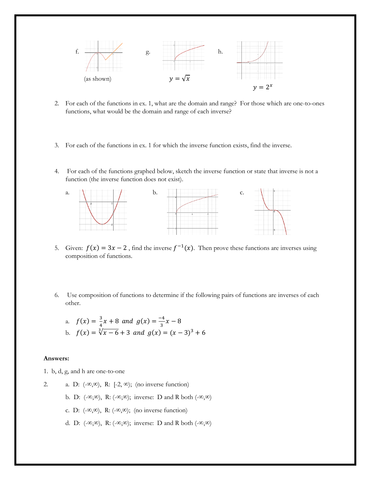

- 2. For each of the functions in ex. 1, what are the domain and range? For those which are one-to-ones functions, what would be the domain and range of each inverse?
- 3. For each of the functions in ex. 1 for which the inverse function exists, find the inverse.
- 4. For each of the functions graphed below, sketch the inverse function or state that inverse is not a function (the inverse function does not exist).



- 5. Given:  $f(x) = 3x 2$ , find the inverse  $f^{-1}(x)$ . Then prove these functions are inverses using composition of functions.
- 6. Use composition of functions to determine if the following pairs of functions are inverses of each other.

a. 
$$
f(x) = \frac{3}{4}x + 8
$$
 and  $g(x) = \frac{-4}{3}x - 8$   
\nb.  $f(x) = \sqrt[3]{x - 6} + 3$  and  $g(x) = (x - 3)^3 + 6$ 

#### **Answers:**

- 1. b, d, g, and h are one-to-one
- 2. a. D:  $(-\infty,\infty)$ , R:  $[-2,\infty)$ ; (no inverse function) b. D:  $(-\infty,\infty)$ , R:  $(-\infty,\infty)$ ; inverse: D and R both  $(-\infty,\infty)$ c. D:  $(-\infty,\infty)$ , R:  $(-\infty,\infty)$ ; (no inverse function) d. D:  $(-\infty,\infty)$ , R:  $(-\infty,\infty)$ ; inverse: D and R both  $(-\infty,\infty)$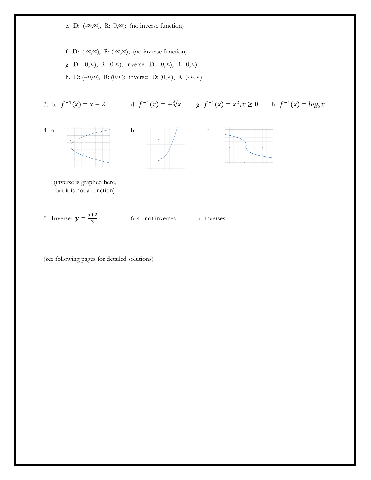e. D: (-∞,∞), R: [0,∞); (no inverse function)

f. D:  $(-\infty,\infty)$ , R:  $(-\infty,\infty)$ ; (no inverse function)

g. D: [0,∞), R: [0,∞); inverse: D: [0,∞), R: [0,∞)

h. D: (-∞,∞), R: (0,∞); inverse: D: (0,∞), R: (-∞,∞)

3. b.  $f^{-1}(x) = x - 2$  d.  $f^{-1}(x) = -\sqrt[3]{x}$  g.  $f^{-1}(x) = x^2, x \ge 0$  h.  $f^{-1}(x) = \log_2 x$ 









 (inverse is graphed here, but it is not a function)

5. Inverse:  $y = \frac{x+2}{2}$ 3

6. a. not inverses b. inverses

(see following pages for detailed solutions)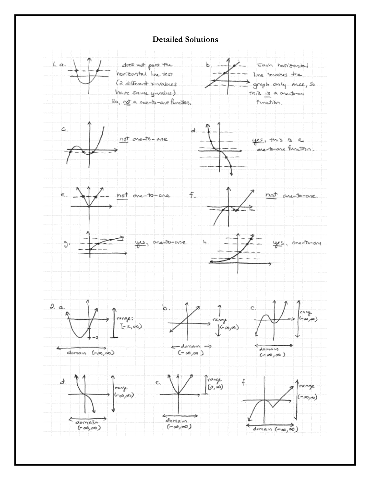#### **Detailed Solutions**

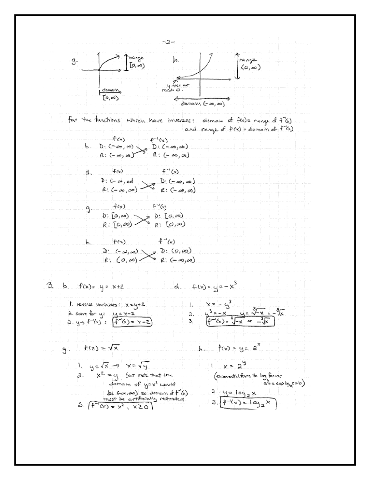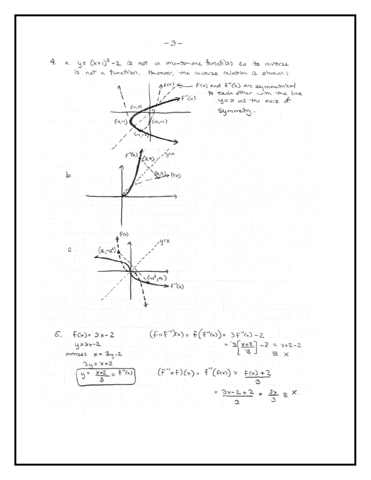

 $-3-$